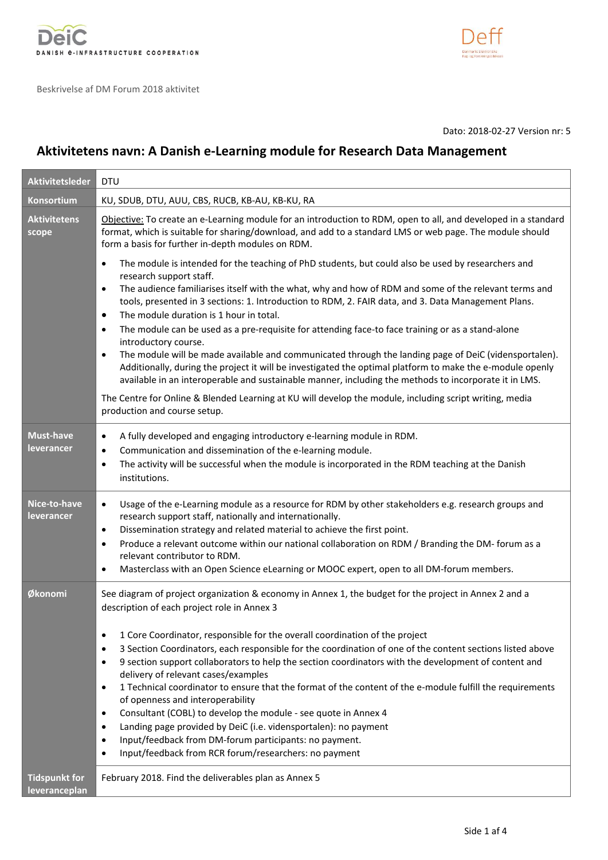



Dato: 2018-02-27 Version nr: 5

# **Aktivitetens navn: A Danish e-Learning module for Research Data Management**

| <b>Aktivitetsleder</b>                | <b>DTU</b>                                                                                                                                                                                                                                                                                                                                                                                                                                                                                                                                                                                                                                                                                                                                                                                                                                                                                                                                                                                                                                                       |
|---------------------------------------|------------------------------------------------------------------------------------------------------------------------------------------------------------------------------------------------------------------------------------------------------------------------------------------------------------------------------------------------------------------------------------------------------------------------------------------------------------------------------------------------------------------------------------------------------------------------------------------------------------------------------------------------------------------------------------------------------------------------------------------------------------------------------------------------------------------------------------------------------------------------------------------------------------------------------------------------------------------------------------------------------------------------------------------------------------------|
| <b>Konsortium</b>                     | KU, SDUB, DTU, AUU, CBS, RUCB, KB-AU, KB-KU, RA                                                                                                                                                                                                                                                                                                                                                                                                                                                                                                                                                                                                                                                                                                                                                                                                                                                                                                                                                                                                                  |
| <b>Aktivitetens</b><br>scope          | Objective: To create an e-Learning module for an introduction to RDM, open to all, and developed in a standard<br>format, which is suitable for sharing/download, and add to a standard LMS or web page. The module should<br>form a basis for further in-depth modules on RDM.                                                                                                                                                                                                                                                                                                                                                                                                                                                                                                                                                                                                                                                                                                                                                                                  |
|                                       | The module is intended for the teaching of PhD students, but could also be used by researchers and<br>$\bullet$<br>research support staff.<br>The audience familiarises itself with the what, why and how of RDM and some of the relevant terms and<br>$\bullet$<br>tools, presented in 3 sections: 1. Introduction to RDM, 2. FAIR data, and 3. Data Management Plans.<br>The module duration is 1 hour in total.<br>$\bullet$<br>The module can be used as a pre-requisite for attending face-to face training or as a stand-alone<br>$\bullet$<br>introductory course.<br>The module will be made available and communicated through the landing page of DeiC (vidensportalen).<br>$\bullet$<br>Additionally, during the project it will be investigated the optimal platform to make the e-module openly<br>available in an interoperable and sustainable manner, including the methods to incorporate it in LMS.<br>The Centre for Online & Blended Learning at KU will develop the module, including script writing, media<br>production and course setup. |
| <b>Must-have</b><br>leverancer        | A fully developed and engaging introductory e-learning module in RDM.<br>$\bullet$<br>Communication and dissemination of the e-learning module.<br>$\bullet$<br>The activity will be successful when the module is incorporated in the RDM teaching at the Danish<br>$\bullet$<br>institutions.                                                                                                                                                                                                                                                                                                                                                                                                                                                                                                                                                                                                                                                                                                                                                                  |
| Nice-to-have<br>leverancer            | Usage of the e-Learning module as a resource for RDM by other stakeholders e.g. research groups and<br>$\bullet$<br>research support staff, nationally and internationally.<br>Dissemination strategy and related material to achieve the first point.<br>$\bullet$<br>Produce a relevant outcome within our national collaboration on RDM / Branding the DM- forum as a<br>$\bullet$<br>relevant contributor to RDM.<br>Masterclass with an Open Science eLearning or MOOC expert, open to all DM-forum members.<br>$\bullet$                                                                                                                                                                                                                                                                                                                                                                                                                                                                                                                                   |
| Økonomi                               | See diagram of project organization & economy in Annex 1, the budget for the project in Annex 2 and a<br>description of each project role in Annex 3<br>1 Core Coordinator, responsible for the overall coordination of the project<br>$\bullet$<br>3 Section Coordinators, each responsible for the coordination of one of the content sections listed above<br>$\bullet$<br>9 section support collaborators to help the section coordinators with the development of content and<br>$\bullet$<br>delivery of relevant cases/examples<br>1 Technical coordinator to ensure that the format of the content of the e-module fulfill the requirements<br>$\bullet$<br>of openness and interoperability<br>Consultant (COBL) to develop the module - see quote in Annex 4<br>$\bullet$<br>Landing page provided by DeiC (i.e. vidensportalen): no payment<br>$\bullet$<br>Input/feedback from DM-forum participants: no payment.<br>$\bullet$<br>Input/feedback from RCR forum/researchers: no payment<br>$\bullet$                                                 |
| <b>Tidspunkt for</b><br>leveranceplan | February 2018. Find the deliverables plan as Annex 5                                                                                                                                                                                                                                                                                                                                                                                                                                                                                                                                                                                                                                                                                                                                                                                                                                                                                                                                                                                                             |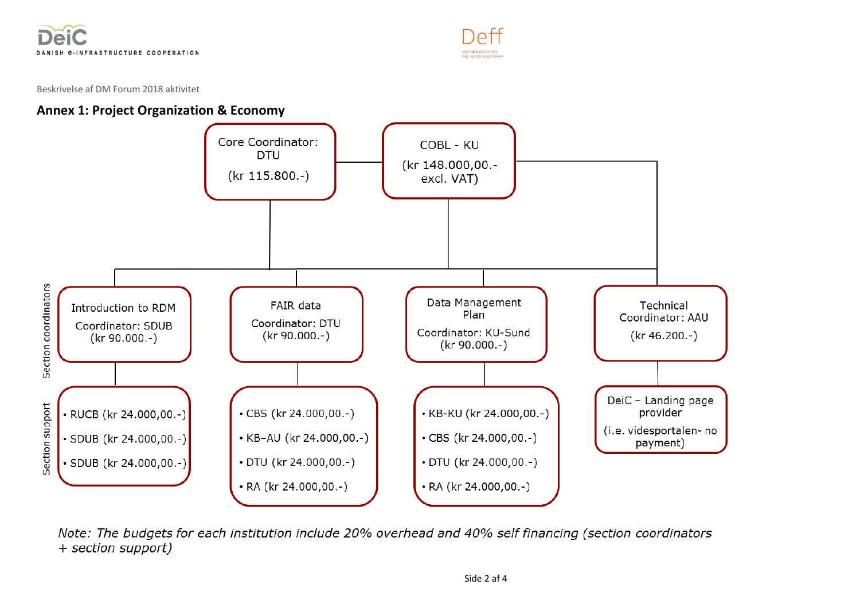



# **Annex 1: Project Organization & Economy**



Note: The budgets for each institution include 20% overhead and 40% self financing (section coordinators + section support)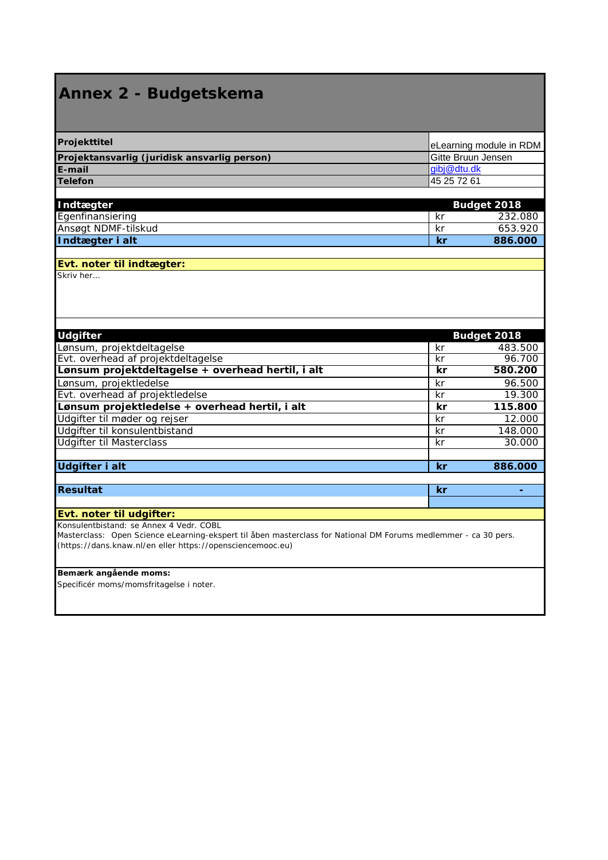# **Annex 2 - Budgetskema**

| Projekttitel                                 | eLearning module in RDM |
|----------------------------------------------|-------------------------|
| Projektansvarlig (juridisk ansvarlig person) | Gitte Bruun Jensen      |
| E-mail                                       | gibj@dtu.dk             |
| <b>Telefon</b>                               | 145 25 72 61            |

| Indtægter           |     | <b>Budget 2018</b> |
|---------------------|-----|--------------------|
| Egenfinansiering    | ΚI  | 232.080            |
| Ansøgt NDMF-tilskud | -kr | 653.920            |
| Indtægter i alt     | /kr | 886,000            |

# **Evt. noter til indtægter:**

Skriv her…

| <b>Udgifter</b>                                   |           | Budget 2018 |
|---------------------------------------------------|-----------|-------------|
| Lønsum, projektdeltagelse                         | kr        | 483.500     |
| Evt. overhead af projektdeltagelse                | kr        | 96.700      |
| Lønsum projektdeltagelse + overhead hertil, i alt | kr        | 580.200     |
| Lønsum, projektledelse                            | kr        | 96.500      |
| Evt. overhead af projektledelse                   | kr        | 19.300      |
| Lønsum projektledelse + overhead hertil, i alt    | kr        | 115.800     |
| Udgifter til møder og rejser                      | kr        | 12.000      |
| Udgifter til konsulentbistand                     | kr        | 148.000     |
| <b>Udgifter til Masterclass</b>                   | kr        | 30.000      |
| <b>Udgifter i alt</b>                             | kr        | 886.000     |
|                                                   |           |             |
| <b>Resultat</b>                                   | <b>kr</b> |             |
|                                                   |           |             |

#### **Evt. noter til udgifter:**

Konsulentbistand: se Annex 4 Vedr. COBL

Masterclass: Open Science eLearning-ekspert til åben masterclass for National DM Forums medlemmer - ca 30 pers. (https://dans.knaw.nl/en eller https://opensciencemooc.eu)

#### **Bemærk angående moms:**

Specificér moms/momsfritagelse i noter.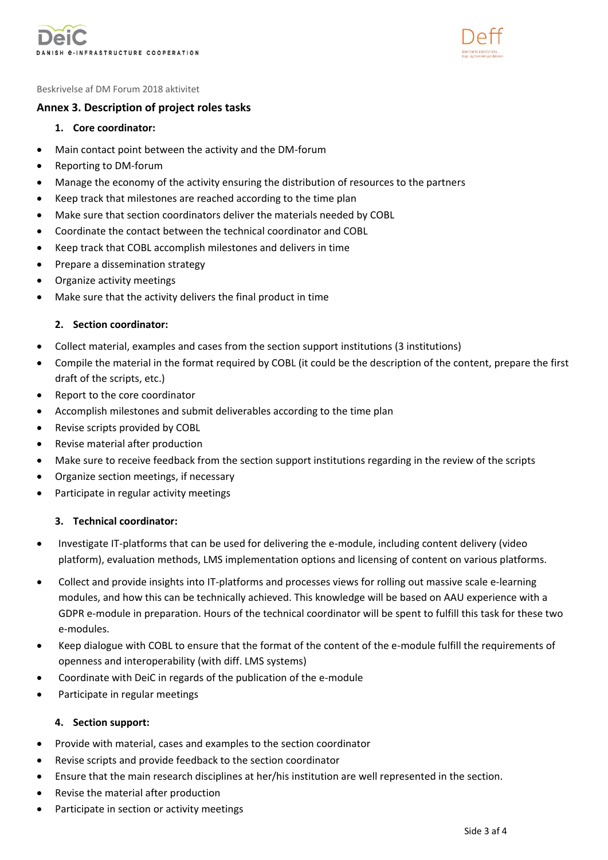



#### **Annex 3. Description of project roles tasks**

- **1. Core coordinator:**
- Main contact point between the activity and the DM-forum
- Reporting to DM-forum
- Manage the economy of the activity ensuring the distribution of resources to the partners
- Keep track that milestones are reached according to the time plan
- Make sure that section coordinators deliver the materials needed by COBL
- Coordinate the contact between the technical coordinator and COBL
- Keep track that COBL accomplish milestones and delivers in time
- Prepare a dissemination strategy
- Organize activity meetings
- Make sure that the activity delivers the final product in time

#### **2. Section coordinator:**

- Collect material, examples and cases from the section support institutions (3 institutions)
- Compile the material in the format required by COBL (it could be the description of the content, prepare the first draft of the scripts, etc.)
- Report to the core coordinator
- Accomplish milestones and submit deliverables according to the time plan
- Revise scripts provided by COBL
- Revise material after production
- Make sure to receive feedback from the section support institutions regarding in the review of the scripts
- Organize section meetings, if necessary
- Participate in regular activity meetings

#### **3. Technical coordinator:**

- Investigate IT-platforms that can be used for delivering the e-module, including content delivery (video platform), evaluation methods, LMS implementation options and licensing of content on various platforms.
- Collect and provide insights into IT-platforms and processes views for rolling out massive scale e-learning modules, and how this can be technically achieved. This knowledge will be based on AAU experience with a GDPR e-module in preparation. Hours of the technical coordinator will be spent to fulfill this task for these two e-modules.
- Keep dialogue with COBL to ensure that the format of the content of the e-module fulfill the requirements of openness and interoperability (with diff. LMS systems)
- Coordinate with DeiC in regards of the publication of the e-module
- Participate in regular meetings

#### **4. Section support:**

- Provide with material, cases and examples to the section coordinator
- Revise scripts and provide feedback to the section coordinator
- Ensure that the main research disciplines at her/his institution are well represented in the section.
- Revise the material after production
- Participate in section or activity meetings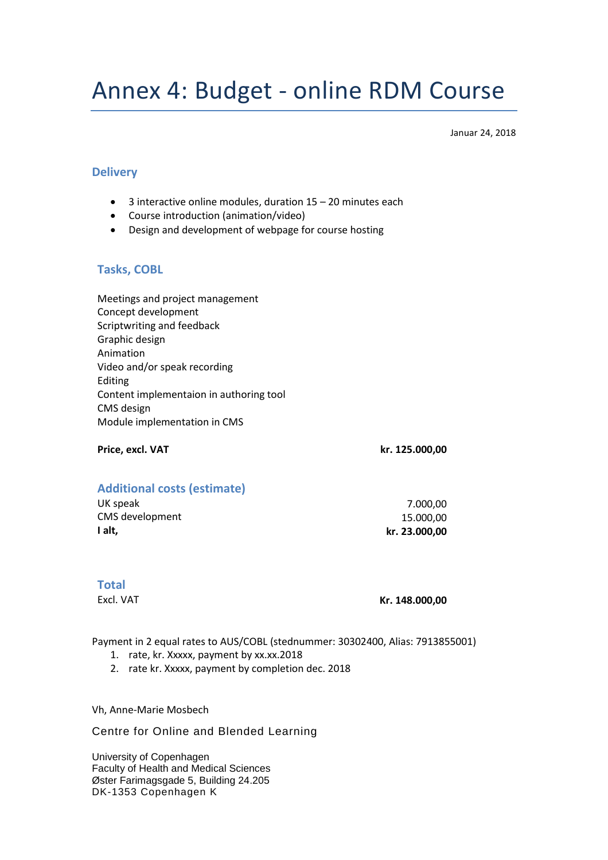# Annex 4: Budget - online RDM Course

Januar 24, 2018

#### **Delivery**

- 3 interactive online modules, duration 15 20 minutes each
- Course introduction (animation/video)
- Design and development of webpage for course hosting

#### **Tasks, COBL**

Meetings and project management Concept development Scriptwriting and feedback Graphic design Animation Video and/or speak recording Editing Content implementaion in authoring tool CMS design Module implementation in CMS

**Price, excl. VAT kr. 125.000,00**

## **Additional costs (estimate)**

| I alt.          | kr. 23.000,00 |
|-----------------|---------------|
| CMS development | 15.000.00     |
| UK speak        | 7.000.00      |

#### **Total**

Excl. VAT **Kr. 148.000,00**

Payment in 2 equal rates to AUS/COBL (stednummer: 30302400, Alias: 7913855001)

- 1. rate, kr. Xxxxx, payment by xx.xx.2018
- 2. rate kr. Xxxxx, payment by completion dec. 2018

Vh, Anne-Marie Mosbech

Centre for Online and Blended Learning

University of Copenhagen Faculty of Health and Medical Sciences Øster Farimagsgade 5, Building 24.205 DK-1353 Copenhagen K